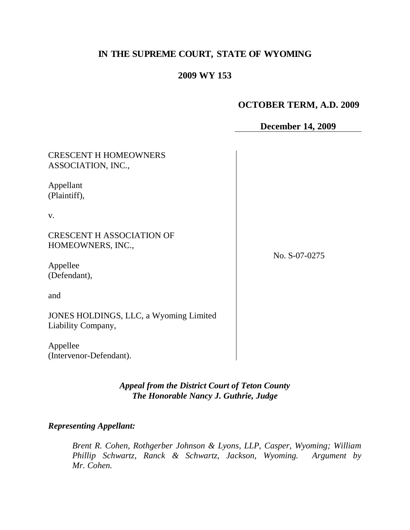# **IN THE SUPREME COURT, STATE OF WYOMING**

# **2009 WY 153**

# **OCTOBER TERM, A.D. 2009**

**December 14, 2009**

| <b>CRESCENT H HOMEOWNERS</b><br>ASSOCIATION, INC.,           |               |
|--------------------------------------------------------------|---------------|
| Appellant<br>(Plaintiff),                                    |               |
| V.                                                           |               |
| <b>CRESCENT H ASSOCIATION OF</b><br>HOMEOWNERS, INC.,        | No. S-07-0275 |
| Appellee<br>(Defendant),                                     |               |
| and                                                          |               |
| JONES HOLDINGS, LLC, a Wyoming Limited<br>Liability Company, |               |
| Appellee<br>(Intervenor-Defendant).                          |               |

*Appeal from the District Court of Teton County The Honorable Nancy J. Guthrie, Judge*

#### *Representing Appellant:*

*Brent R. Cohen, Rothgerber Johnson & Lyons, LLP, Casper, Wyoming; William Phillip Schwartz, Ranck & Schwartz, Jackson, Wyoming. Argument by Mr. Cohen.*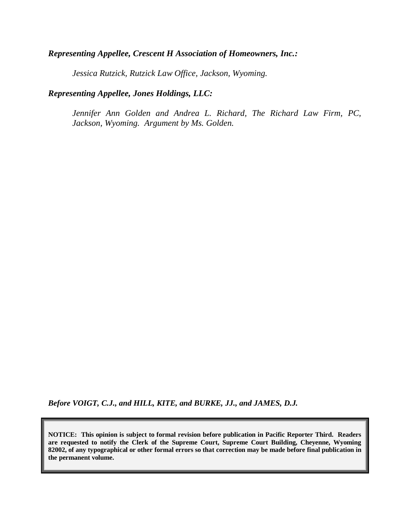### *Representing Appellee, Crescent H Association of Homeowners, Inc.:*

*Jessica Rutzick, Rutzick Law Office, Jackson, Wyoming.*

# *Representing Appellee, Jones Holdings, LLC:*

*Jennifer Ann Golden and Andrea L. Richard, The Richard Law Firm, PC, Jackson, Wyoming. Argument by Ms. Golden.*

*Before VOIGT, C.J., and HILL, KITE, and BURKE, JJ., and JAMES, D.J.* 

**NOTICE: This opinion is subject to formal revision before publication in Pacific Reporter Third. Readers are requested to notify the Clerk of the Supreme Court, Supreme Court Building, Cheyenne, Wyoming 82002, of any typographical or other formal errors so that correction may be made before final publication in the permanent volume.**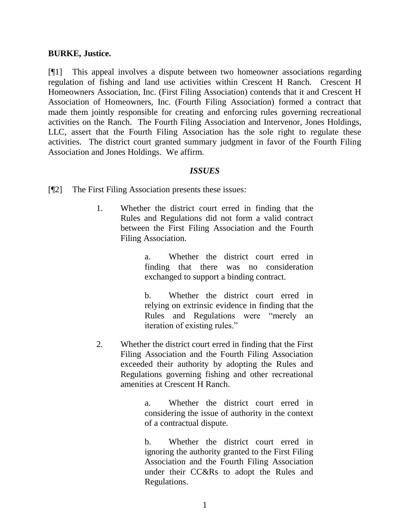#### **BURKE, Justice.**

[¶1] This appeal involves a dispute between two homeowner associations regarding regulation of fishing and land use activities within Crescent H Ranch. Crescent H Homeowners Association, Inc. (First Filing Association) contends that it and Crescent H Association of Homeowners, Inc. (Fourth Filing Association) formed a contract that made them jointly responsible for creating and enforcing rules governing recreational activities on the Ranch. The Fourth Filing Association and Intervenor, Jones Holdings, LLC, assert that the Fourth Filing Association has the sole right to regulate these activities. The district court granted summary judgment in favor of the Fourth Filing Association and Jones Holdings. We affirm.

#### *ISSUES*

- [¶2] The First Filing Association presents these issues:
	- 1. Whether the district court erred in finding that the Rules and Regulations did not form a valid contract between the First Filing Association and the Fourth Filing Association.

a. Whether the district court erred in finding that there was no consideration exchanged to support a binding contract.

b. Whether the district court erred in relying on extrinsic evidence in finding that the Rules and Regulations were "merely an iteration of existing rules."

2. Whether the district court erred in finding that the First Filing Association and the Fourth Filing Association exceeded their authority by adopting the Rules and Regulations governing fishing and other recreational amenities at Crescent H Ranch.

> a. Whether the district court erred in considering the issue of authority in the context of a contractual dispute.

> b. Whether the district court erred in ignoring the authority granted to the First Filing Association and the Fourth Filing Association under their CC&Rs to adopt the Rules and Regulations.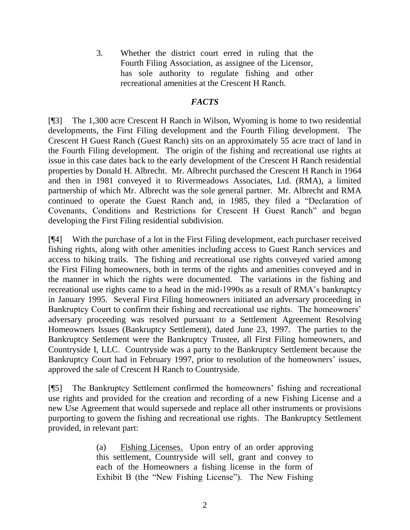3. Whether the district court erred in ruling that the Fourth Filing Association, as assignee of the Licensor, has sole authority to regulate fishing and other recreational amenities at the Crescent H Ranch.

# *FACTS*

[¶3] The 1,300 acre Crescent H Ranch in Wilson, Wyoming is home to two residential developments, the First Filing development and the Fourth Filing development. The Crescent H Guest Ranch (Guest Ranch) sits on an approximately 55 acre tract of land in the Fourth Filing development. The origin of the fishing and recreational use rights at issue in this case dates back to the early development of the Crescent H Ranch residential properties by Donald H. Albrecht. Mr. Albrecht purchased the Crescent H Ranch in 1964 and then in 1981 conveyed it to Rivermeadows Associates, Ltd. (RMA), a limited partnership of which Mr. Albrecht was the sole general partner. Mr. Albrecht and RMA continued to operate the Guest Ranch and, in 1985, they filed a "Declaration of Covenants, Conditions and Restrictions for Crescent H Guest Ranch" and began developing the First Filing residential subdivision.

[¶4] With the purchase of a lot in the First Filing development, each purchaser received fishing rights, along with other amenities including access to Guest Ranch services and access to hiking trails. The fishing and recreational use rights conveyed varied among the First Filing homeowners, both in terms of the rights and amenities conveyed and in the manner in which the rights were documented. The variations in the fishing and recreational use rights came to a head in the mid-1990s as a result of RMA"s bankruptcy in January 1995. Several First Filing homeowners initiated an adversary proceeding in Bankruptcy Court to confirm their fishing and recreational use rights. The homeowners' adversary proceeding was resolved pursuant to a Settlement Agreement Resolving Homeowners Issues (Bankruptcy Settlement), dated June 23, 1997. The parties to the Bankruptcy Settlement were the Bankruptcy Trustee, all First Filing homeowners, and Countryside I, LLC. Countryside was a party to the Bankruptcy Settlement because the Bankruptcy Court had in February 1997, prior to resolution of the homeowners' issues, approved the sale of Crescent H Ranch to Countryside.

[¶5] The Bankruptcy Settlement confirmed the homeowners" fishing and recreational use rights and provided for the creation and recording of a new Fishing License and a new Use Agreement that would supersede and replace all other instruments or provisions purporting to govern the fishing and recreational use rights. The Bankruptcy Settlement provided, in relevant part:

> (a) Fishing Licenses. Upon entry of an order approving this settlement, Countryside will sell, grant and convey to each of the Homeowners a fishing license in the form of Exhibit B (the "New Fishing License"). The New Fishing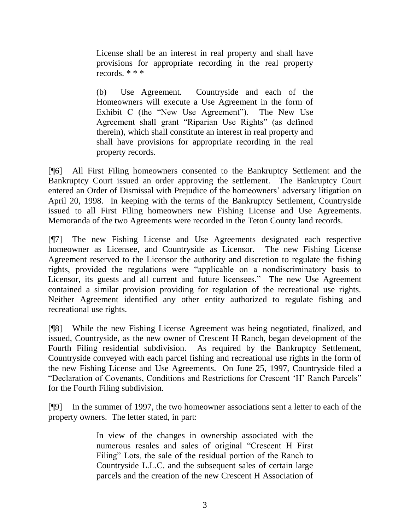License shall be an interest in real property and shall have provisions for appropriate recording in the real property records. \* \* \*

(b) Use Agreement. Countryside and each of the Homeowners will execute a Use Agreement in the form of Exhibit C (the "New Use Agreement"). The New Use Agreement shall grant "Riparian Use Rights" (as defined therein), which shall constitute an interest in real property and shall have provisions for appropriate recording in the real property records.

[¶6] All First Filing homeowners consented to the Bankruptcy Settlement and the Bankruptcy Court issued an order approving the settlement. The Bankruptcy Court entered an Order of Dismissal with Prejudice of the homeowners' adversary litigation on April 20, 1998. In keeping with the terms of the Bankruptcy Settlement, Countryside issued to all First Filing homeowners new Fishing License and Use Agreements. Memoranda of the two Agreements were recorded in the Teton County land records.

[¶7] The new Fishing License and Use Agreements designated each respective homeowner as Licensee, and Countryside as Licensor. The new Fishing License Agreement reserved to the Licensor the authority and discretion to regulate the fishing rights, provided the regulations were "applicable on a nondiscriminatory basis to Licensor, its guests and all current and future licensees." The new Use Agreement contained a similar provision providing for regulation of the recreational use rights. Neither Agreement identified any other entity authorized to regulate fishing and recreational use rights.

[¶8] While the new Fishing License Agreement was being negotiated, finalized, and issued, Countryside, as the new owner of Crescent H Ranch, began development of the Fourth Filing residential subdivision. As required by the Bankruptcy Settlement, Countryside conveyed with each parcel fishing and recreational use rights in the form of the new Fishing License and Use Agreements. On June 25, 1997, Countryside filed a "Declaration of Covenants, Conditions and Restrictions for Crescent "H" Ranch Parcels" for the Fourth Filing subdivision.

[¶9] In the summer of 1997, the two homeowner associations sent a letter to each of the property owners. The letter stated, in part:

> In view of the changes in ownership associated with the numerous resales and sales of original "Crescent H First Filing" Lots, the sale of the residual portion of the Ranch to Countryside L.L.C. and the subsequent sales of certain large parcels and the creation of the new Crescent H Association of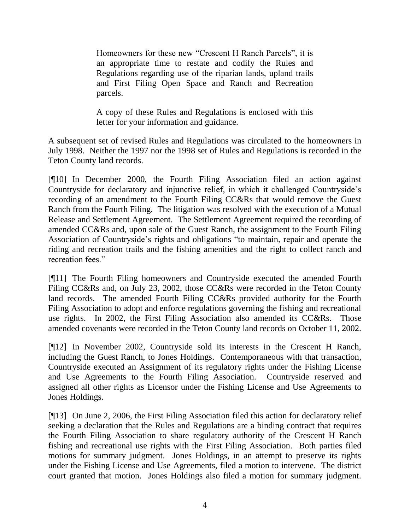Homeowners for these new "Crescent H Ranch Parcels", it is an appropriate time to restate and codify the Rules and Regulations regarding use of the riparian lands, upland trails and First Filing Open Space and Ranch and Recreation parcels.

A copy of these Rules and Regulations is enclosed with this letter for your information and guidance.

A subsequent set of revised Rules and Regulations was circulated to the homeowners in July 1998. Neither the 1997 nor the 1998 set of Rules and Regulations is recorded in the Teton County land records.

[¶10] In December 2000, the Fourth Filing Association filed an action against Countryside for declaratory and injunctive relief, in which it challenged Countryside"s recording of an amendment to the Fourth Filing CC&Rs that would remove the Guest Ranch from the Fourth Filing. The litigation was resolved with the execution of a Mutual Release and Settlement Agreement. The Settlement Agreement required the recording of amended CC&Rs and, upon sale of the Guest Ranch, the assignment to the Fourth Filing Association of Countryside"s rights and obligations "to maintain, repair and operate the riding and recreation trails and the fishing amenities and the right to collect ranch and recreation fees."

[¶11] The Fourth Filing homeowners and Countryside executed the amended Fourth Filing CC&Rs and, on July 23, 2002, those CC&Rs were recorded in the Teton County land records. The amended Fourth Filing CC&Rs provided authority for the Fourth Filing Association to adopt and enforce regulations governing the fishing and recreational use rights. In 2002, the First Filing Association also amended its CC&Rs. Those amended covenants were recorded in the Teton County land records on October 11, 2002.

[¶12] In November 2002, Countryside sold its interests in the Crescent H Ranch, including the Guest Ranch, to Jones Holdings. Contemporaneous with that transaction, Countryside executed an Assignment of its regulatory rights under the Fishing License and Use Agreements to the Fourth Filing Association. Countryside reserved and assigned all other rights as Licensor under the Fishing License and Use Agreements to Jones Holdings.

[¶13] On June 2, 2006, the First Filing Association filed this action for declaratory relief seeking a declaration that the Rules and Regulations are a binding contract that requires the Fourth Filing Association to share regulatory authority of the Crescent H Ranch fishing and recreational use rights with the First Filing Association. Both parties filed motions for summary judgment. Jones Holdings, in an attempt to preserve its rights under the Fishing License and Use Agreements, filed a motion to intervene. The district court granted that motion. Jones Holdings also filed a motion for summary judgment.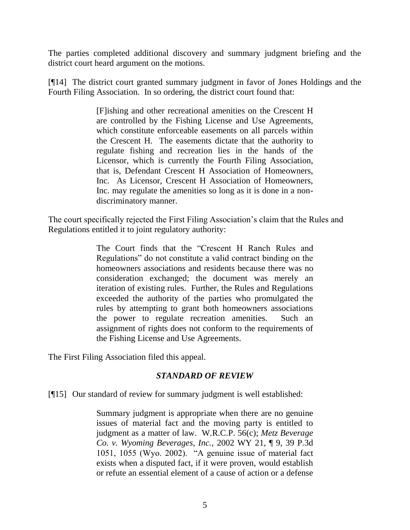The parties completed additional discovery and summary judgment briefing and the district court heard argument on the motions.

[¶14] The district court granted summary judgment in favor of Jones Holdings and the Fourth Filing Association. In so ordering, the district court found that:

> [F]ishing and other recreational amenities on the Crescent H are controlled by the Fishing License and Use Agreements, which constitute enforceable easements on all parcels within the Crescent H. The easements dictate that the authority to regulate fishing and recreation lies in the hands of the Licensor, which is currently the Fourth Filing Association, that is, Defendant Crescent H Association of Homeowners, Inc. As Licensor, Crescent H Association of Homeowners, Inc. may regulate the amenities so long as it is done in a nondiscriminatory manner.

The court specifically rejected the First Filing Association"s claim that the Rules and Regulations entitled it to joint regulatory authority:

> The Court finds that the "Crescent H Ranch Rules and Regulations" do not constitute a valid contract binding on the homeowners associations and residents because there was no consideration exchanged; the document was merely an iteration of existing rules. Further, the Rules and Regulations exceeded the authority of the parties who promulgated the rules by attempting to grant both homeowners associations the power to regulate recreation amenities. Such an assignment of rights does not conform to the requirements of the Fishing License and Use Agreements.

The First Filing Association filed this appeal.

#### *STANDARD OF REVIEW*

[¶15] Our standard of review for summary judgment is well established:

Summary judgment is appropriate when there are no genuine issues of material fact and the moving party is entitled to judgment as a matter of law. W.R.C.P. 56(c); *Metz Beverage Co. v. Wyoming Beverages, Inc.*, 2002 WY 21, ¶ 9, 39 P.3d 1051, 1055 (Wyo. 2002). "A genuine issue of material fact exists when a disputed fact, if it were proven, would establish or refute an essential element of a cause of action or a defense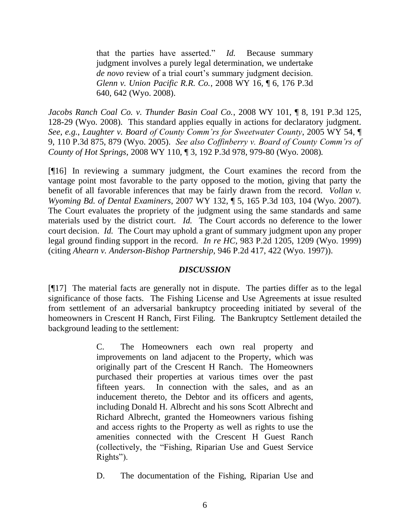that the parties have asserted." *Id.* Because summary judgment involves a purely legal determination, we undertake *de novo* review of a trial court's summary judgment decision. *Glenn v. Union Pacific R.R. Co.*, 2008 WY 16, ¶ 6, 176 P.3d 640, 642 (Wyo. 2008).

*Jacobs Ranch Coal Co. v. Thunder Basin Coal Co.*, 2008 WY 101, ¶ 8, 191 P.3d 125, 128-29 (Wyo. 2008). This standard applies equally in actions for declaratory judgment. *See*, *e.g.*, *Laughter v. Board of County Comm'rs for Sweetwater County*, 2005 WY 54, ¶ 9, 110 P.3d 875, 879 (Wyo. 2005). *See also Coffinberry v. Board of County Comm'rs of County of Hot Springs*, 2008 WY 110, ¶ 3, 192 P.3d 978, 979-80 (Wyo. 2008).

[¶16] In reviewing a summary judgment, the Court examines the record from the vantage point most favorable to the party opposed to the motion, giving that party the benefit of all favorable inferences that may be fairly drawn from the record. *Vollan v. Wyoming Bd. of Dental Examiners*, 2007 WY 132, ¶ 5, 165 P.3d 103, 104 (Wyo. 2007). The Court evaluates the propriety of the judgment using the same standards and same materials used by the district court. *Id.* The Court accords no deference to the lower court decision. *Id.* The Court may uphold a grant of summary judgment upon any proper legal ground finding support in the record. *In re HC*, 983 P.2d 1205, 1209 (Wyo. 1999) (citing *Ahearn v. Anderson-Bishop Partnership*, 946 P.2d 417, 422 (Wyo. 1997)).

# *DISCUSSION*

[¶17] The material facts are generally not in dispute. The parties differ as to the legal significance of those facts. The Fishing License and Use Agreements at issue resulted from settlement of an adversarial bankruptcy proceeding initiated by several of the homeowners in Crescent H Ranch, First Filing. The Bankruptcy Settlement detailed the background leading to the settlement:

> C. The Homeowners each own real property and improvements on land adjacent to the Property, which was originally part of the Crescent H Ranch. The Homeowners purchased their properties at various times over the past fifteen years. In connection with the sales, and as an inducement thereto, the Debtor and its officers and agents, including Donald H. Albrecht and his sons Scott Albrecht and Richard Albrecht, granted the Homeowners various fishing and access rights to the Property as well as rights to use the amenities connected with the Crescent H Guest Ranch (collectively, the "Fishing, Riparian Use and Guest Service Rights").

D. The documentation of the Fishing, Riparian Use and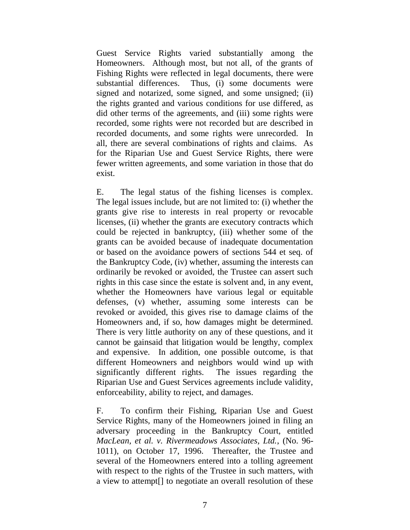Guest Service Rights varied substantially among the Homeowners. Although most, but not all, of the grants of Fishing Rights were reflected in legal documents, there were substantial differences. Thus, (i) some documents were signed and notarized, some signed, and some unsigned; (ii) the rights granted and various conditions for use differed, as did other terms of the agreements, and (iii) some rights were recorded, some rights were not recorded but are described in recorded documents, and some rights were unrecorded. In all, there are several combinations of rights and claims. As for the Riparian Use and Guest Service Rights, there were fewer written agreements, and some variation in those that do exist.

E. The legal status of the fishing licenses is complex. The legal issues include, but are not limited to: (i) whether the grants give rise to interests in real property or revocable licenses, (ii) whether the grants are executory contracts which could be rejected in bankruptcy, (iii) whether some of the grants can be avoided because of inadequate documentation or based on the avoidance powers of sections 544 et seq. of the Bankruptcy Code, (iv) whether, assuming the interests can ordinarily be revoked or avoided, the Trustee can assert such rights in this case since the estate is solvent and, in any event, whether the Homeowners have various legal or equitable defenses, (v) whether, assuming some interests can be revoked or avoided, this gives rise to damage claims of the Homeowners and, if so, how damages might be determined. There is very little authority on any of these questions, and it cannot be gainsaid that litigation would be lengthy, complex and expensive. In addition, one possible outcome, is that different Homeowners and neighbors would wind up with significantly different rights. The issues regarding the Riparian Use and Guest Services agreements include validity, enforceability, ability to reject, and damages.

F. To confirm their Fishing, Riparian Use and Guest Service Rights, many of the Homeowners joined in filing an adversary proceeding in the Bankruptcy Court, entitled *MacLean, et al. v. Rivermeadows Associates, Ltd.*, (No. 96- 1011), on October 17, 1996. Thereafter, the Trustee and several of the Homeowners entered into a tolling agreement with respect to the rights of the Trustee in such matters, with a view to attempt[] to negotiate an overall resolution of these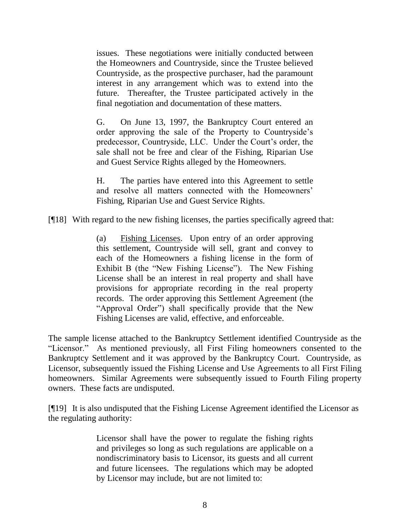issues. These negotiations were initially conducted between the Homeowners and Countryside, since the Trustee believed Countryside, as the prospective purchaser, had the paramount interest in any arrangement which was to extend into the future. Thereafter, the Trustee participated actively in the final negotiation and documentation of these matters.

G. On June 13, 1997, the Bankruptcy Court entered an order approving the sale of the Property to Countryside"s predecessor, Countryside, LLC. Under the Court's order, the sale shall not be free and clear of the Fishing, Riparian Use and Guest Service Rights alleged by the Homeowners.

H. The parties have entered into this Agreement to settle and resolve all matters connected with the Homeowners' Fishing, Riparian Use and Guest Service Rights.

[¶18] With regard to the new fishing licenses, the parties specifically agreed that:

(a) Fishing Licenses. Upon entry of an order approving this settlement, Countryside will sell, grant and convey to each of the Homeowners a fishing license in the form of Exhibit B (the "New Fishing License"). The New Fishing License shall be an interest in real property and shall have provisions for appropriate recording in the real property records. The order approving this Settlement Agreement (the "Approval Order") shall specifically provide that the New Fishing Licenses are valid, effective, and enforceable.

The sample license attached to the Bankruptcy Settlement identified Countryside as the "Licensor." As mentioned previously, all First Filing homeowners consented to the Bankruptcy Settlement and it was approved by the Bankruptcy Court. Countryside, as Licensor, subsequently issued the Fishing License and Use Agreements to all First Filing homeowners. Similar Agreements were subsequently issued to Fourth Filing property owners. These facts are undisputed.

[¶19] It is also undisputed that the Fishing License Agreement identified the Licensor as the regulating authority:

> Licensor shall have the power to regulate the fishing rights and privileges so long as such regulations are applicable on a nondiscriminatory basis to Licensor, its guests and all current and future licensees. The regulations which may be adopted by Licensor may include, but are not limited to: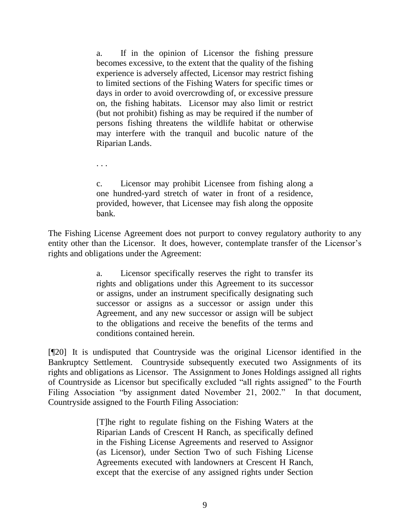a. If in the opinion of Licensor the fishing pressure becomes excessive, to the extent that the quality of the fishing experience is adversely affected, Licensor may restrict fishing to limited sections of the Fishing Waters for specific times or days in order to avoid overcrowding of, or excessive pressure on, the fishing habitats. Licensor may also limit or restrict (but not prohibit) fishing as may be required if the number of persons fishing threatens the wildlife habitat or otherwise may interfere with the tranquil and bucolic nature of the Riparian Lands.

c. Licensor may prohibit Licensee from fishing along a one hundred-yard stretch of water in front of a residence, provided, however, that Licensee may fish along the opposite bank.

. . .

The Fishing License Agreement does not purport to convey regulatory authority to any entity other than the Licensor. It does, however, contemplate transfer of the Licensor's rights and obligations under the Agreement:

> a. Licensor specifically reserves the right to transfer its rights and obligations under this Agreement to its successor or assigns, under an instrument specifically designating such successor or assigns as a successor or assign under this Agreement, and any new successor or assign will be subject to the obligations and receive the benefits of the terms and conditions contained herein.

[¶20] It is undisputed that Countryside was the original Licensor identified in the Bankruptcy Settlement. Countryside subsequently executed two Assignments of its rights and obligations as Licensor. The Assignment to Jones Holdings assigned all rights of Countryside as Licensor but specifically excluded "all rights assigned" to the Fourth Filing Association "by assignment dated November 21, 2002." In that document, Countryside assigned to the Fourth Filing Association:

> [T]he right to regulate fishing on the Fishing Waters at the Riparian Lands of Crescent H Ranch, as specifically defined in the Fishing License Agreements and reserved to Assignor (as Licensor), under Section Two of such Fishing License Agreements executed with landowners at Crescent H Ranch, except that the exercise of any assigned rights under Section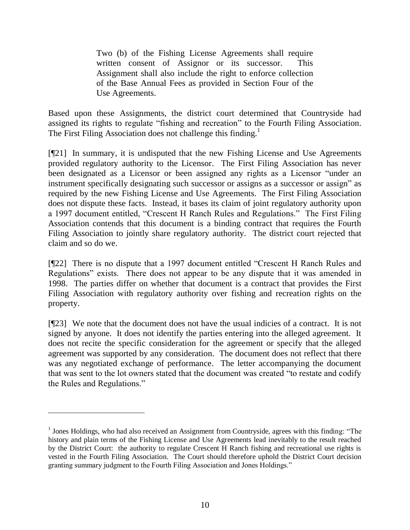Two (b) of the Fishing License Agreements shall require written consent of Assignor or its successor. This Assignment shall also include the right to enforce collection of the Base Annual Fees as provided in Section Four of the Use Agreements.

Based upon these Assignments, the district court determined that Countryside had assigned its rights to regulate "fishing and recreation" to the Fourth Filing Association. The First Filing Association does not challenge this finding.<sup>1</sup>

[¶21] In summary, it is undisputed that the new Fishing License and Use Agreements provided regulatory authority to the Licensor. The First Filing Association has never been designated as a Licensor or been assigned any rights as a Licensor "under an instrument specifically designating such successor or assigns as a successor or assign" as required by the new Fishing License and Use Agreements. The First Filing Association does not dispute these facts. Instead, it bases its claim of joint regulatory authority upon a 1997 document entitled, "Crescent H Ranch Rules and Regulations." The First Filing Association contends that this document is a binding contract that requires the Fourth Filing Association to jointly share regulatory authority. The district court rejected that claim and so do we.

[¶22] There is no dispute that a 1997 document entitled "Crescent H Ranch Rules and Regulations" exists. There does not appear to be any dispute that it was amended in 1998. The parties differ on whether that document is a contract that provides the First Filing Association with regulatory authority over fishing and recreation rights on the property.

[¶23] We note that the document does not have the usual indicies of a contract. It is not signed by anyone. It does not identify the parties entering into the alleged agreement. It does not recite the specific consideration for the agreement or specify that the alleged agreement was supported by any consideration. The document does not reflect that there was any negotiated exchange of performance. The letter accompanying the document that was sent to the lot owners stated that the document was created "to restate and codify the Rules and Regulations."

 $\overline{a}$ 

 $<sup>1</sup>$  Jones Holdings, who had also received an Assignment from Countryside, agrees with this finding: "The</sup> history and plain terms of the Fishing License and Use Agreements lead inevitably to the result reached by the District Court: the authority to regulate Crescent H Ranch fishing and recreational use rights is vested in the Fourth Filing Association. The Court should therefore uphold the District Court decision granting summary judgment to the Fourth Filing Association and Jones Holdings."